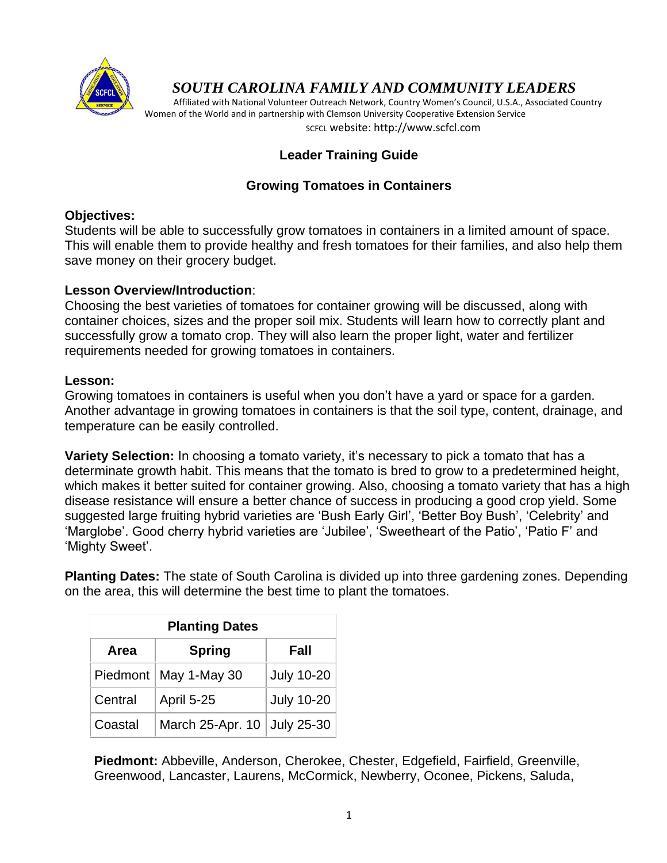

# *SOUTH CAROLINA FAMILY AND COMMUNITY LEADERS*

 Affiliated with National Volunteer Outreach Network, Country Women's Council, U.S.A., Associated Country Women of the World and in partnership with Clemson University Cooperative Extension Service SCFCL website: http://www.scfcl.com

# **Leader Training Guide**

# **Growing Tomatoes in Containers**

### **Objectives:**

Students will be able to successfully grow tomatoes in containers in a limited amount of space. This will enable them to provide healthy and fresh tomatoes for their families, and also help them save money on their grocery budget.

# **Lesson Overview/Introduction**:

Choosing the best varieties of tomatoes for container growing will be discussed, along with container choices, sizes and the proper soil mix. Students will learn how to correctly plant and successfully grow a tomato crop. They will also learn the proper light, water and fertilizer requirements needed for growing tomatoes in containers.

### **Lesson:**

Growing tomatoes in containers is useful when you don't have a yard or space for a garden. Another advantage in growing tomatoes in containers is that the soil type, content, drainage, and temperature can be easily controlled.

**Variety Selection:** In choosing a tomato variety, it's necessary to pick a tomato that has a determinate growth habit. This means that the tomato is bred to grow to a predetermined height, which makes it better suited for container growing. Also, choosing a tomato variety that has a high disease resistance will ensure a better chance of success in producing a good crop yield. Some suggested large fruiting hybrid varieties are 'Bush Early Girl', 'Better Boy Bush', 'Celebrity' and 'Marglobe'. Good cherry hybrid varieties are 'Jubilee', 'Sweetheart of the Patio', 'Patio F' and 'Mighty Sweet'.

**Planting Dates:** The state of South Carolina is divided up into three gardening zones. Depending on the area, this will determine the best time to plant the tomatoes.

| <b>Planting Dates</b> |                             |                   |
|-----------------------|-----------------------------|-------------------|
| Area                  | <b>Spring</b>               | Fall              |
|                       | Piedmont   May 1-May 30     | <b>July 10-20</b> |
| Central               | <b>April 5-25</b>           | <b>July 10-20</b> |
| Coastal               | March 25-Apr. 10 July 25-30 |                   |

**Piedmont:** Abbeville, Anderson, Cherokee, Chester, Edgefield, Fairfield, Greenville, Greenwood, Lancaster, Laurens, McCormick, Newberry, Oconee, Pickens, Saluda,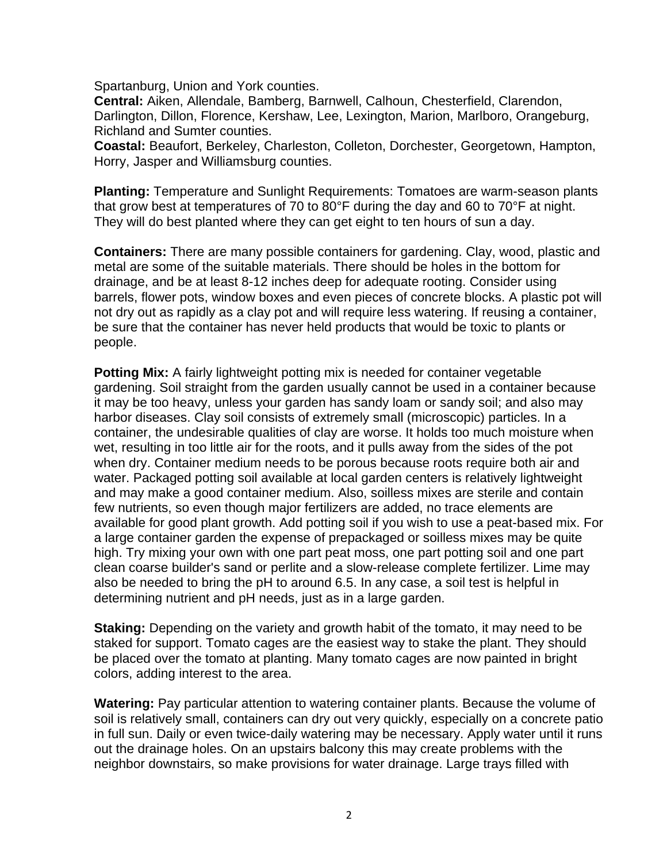Spartanburg, Union and York counties.

**Central:** Aiken, Allendale, Bamberg, Barnwell, Calhoun, Chesterfield, Clarendon, Darlington, Dillon, Florence, Kershaw, Lee, Lexington, Marion, Marlboro, Orangeburg, Richland and Sumter counties.

**Coastal:** Beaufort, Berkeley, Charleston, Colleton, Dorchester, Georgetown, Hampton, Horry, Jasper and Williamsburg counties.

**Planting:** Temperature and Sunlight Requirements: Tomatoes are warm-season plants that grow best at temperatures of 70 to 80°F during the day and 60 to 70°F at night. They will do best planted where they can get eight to ten hours of sun a day.

**Containers:** There are many possible containers for gardening. Clay, wood, plastic and metal are some of the suitable materials. There should be holes in the bottom for drainage, and be at least 8-12 inches deep for adequate rooting. Consider using barrels, flower pots, window boxes and even pieces of concrete blocks. A plastic pot will not dry out as rapidly as a clay pot and will require less watering. If reusing a container, be sure that the container has never held products that would be toxic to plants or people.

**Potting Mix:** A fairly lightweight potting mix is needed for container vegetable gardening. Soil straight from the garden usually cannot be used in a container because it may be too heavy, unless your garden has sandy loam or sandy soil; and also may harbor diseases. Clay soil consists of extremely small (microscopic) particles. In a container, the undesirable qualities of clay are worse. It holds too much moisture when wet, resulting in too little air for the roots, and it pulls away from the sides of the pot when dry. Container medium needs to be porous because roots require both air and water. Packaged potting soil available at local garden centers is relatively lightweight and may make a good container medium. Also, soilless mixes are sterile and contain few nutrients, so even though major fertilizers are added, no trace elements are available for good plant growth. Add potting soil if you wish to use a peat-based mix. For a large container garden the expense of prepackaged or soilless mixes may be quite high. Try mixing your own with one part peat moss, one part potting soil and one part clean coarse builder's sand or perlite and a slow-release complete fertilizer. Lime may also be needed to bring the pH to around 6.5. In any case, a soil test is helpful in determining nutrient and pH needs, just as in a large garden.

**Staking:** Depending on the variety and growth habit of the tomato, it may need to be staked for support. Tomato cages are the easiest way to stake the plant. They should be placed over the tomato at planting. Many tomato cages are now painted in bright colors, adding interest to the area.

**Watering:** Pay particular attention to watering container plants. Because the volume of soil is relatively small, containers can dry out very quickly, especially on a concrete patio in full sun. Daily or even twice-daily watering may be necessary. Apply water until it runs out the drainage holes. On an upstairs balcony this may create problems with the neighbor downstairs, so make provisions for water drainage. Large trays filled with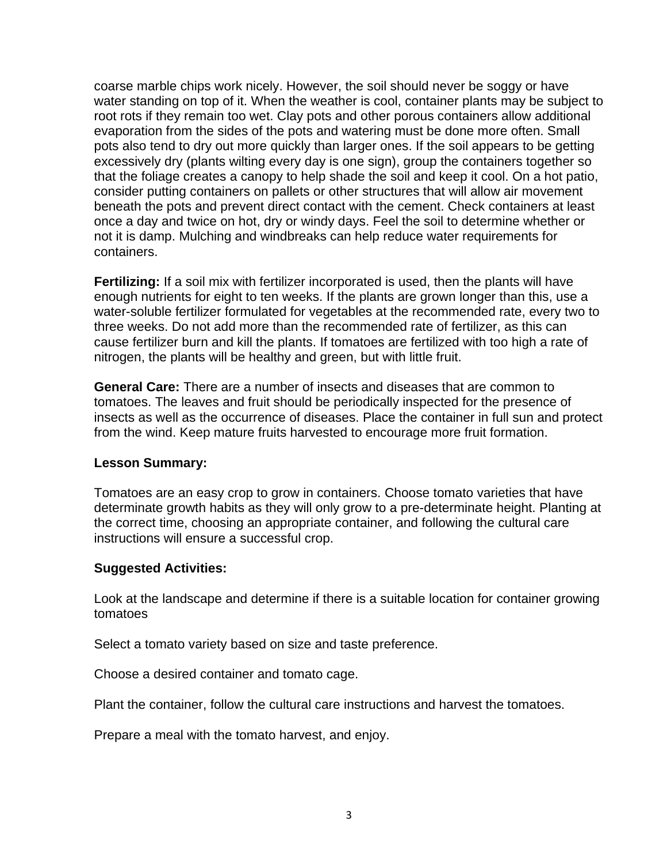coarse marble chips work nicely. However, the soil should never be soggy or have water standing on top of it. When the weather is cool, container plants may be subject to root rots if they remain too wet. Clay pots and other porous containers allow additional evaporation from the sides of the pots and watering must be done more often. Small pots also tend to dry out more quickly than larger ones. If the soil appears to be getting excessively dry (plants wilting every day is one sign), group the containers together so that the foliage creates a canopy to help shade the soil and keep it cool. On a hot patio, consider putting containers on pallets or other structures that will allow air movement beneath the pots and prevent direct contact with the cement. Check containers at least once a day and twice on hot, dry or windy days. Feel the soil to determine whether or not it is damp. Mulching and windbreaks can help reduce water requirements for containers.

**Fertilizing:** If a soil mix with fertilizer incorporated is used, then the plants will have enough nutrients for eight to ten weeks. If the plants are grown longer than this, use a water-soluble fertilizer formulated for vegetables at the recommended rate, every two to three weeks. Do not add more than the recommended rate of fertilizer, as this can cause fertilizer burn and kill the plants. If tomatoes are fertilized with too high a rate of nitrogen, the plants will be healthy and green, but with little fruit.

**General Care:** There are a number of insects and diseases that are common to tomatoes. The leaves and fruit should be periodically inspected for the presence of insects as well as the occurrence of diseases. Place the container in full sun and protect from the wind. Keep mature fruits harvested to encourage more fruit formation.

### **Lesson Summary:**

Tomatoes are an easy crop to grow in containers. Choose tomato varieties that have determinate growth habits as they will only grow to a pre-determinate height. Planting at the correct time, choosing an appropriate container, and following the cultural care instructions will ensure a successful crop.

### **Suggested Activities:**

Look at the landscape and determine if there is a suitable location for container growing tomatoes

Select a tomato variety based on size and taste preference.

Choose a desired container and tomato cage.

Plant the container, follow the cultural care instructions and harvest the tomatoes.

Prepare a meal with the tomato harvest, and enjoy.